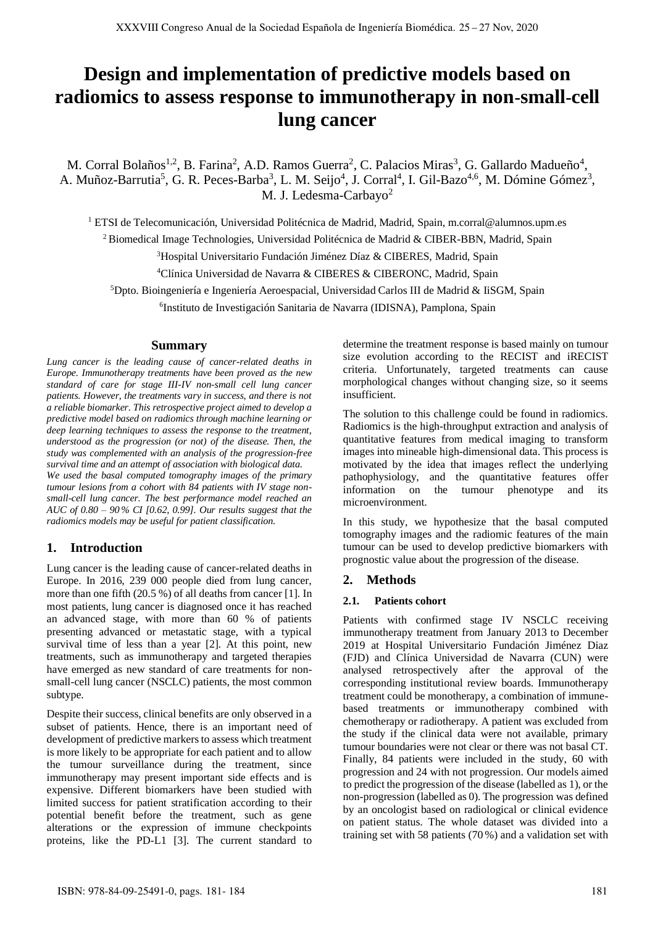# **Design and implementation of predictive models based on radiomics to assess response to immunotherapy in non-small-cell lung cancer**

M. Corral Bolaños<sup>1,2</sup>, B. Farina<sup>2</sup>, A.D. Ramos Guerra<sup>2</sup>, C. Palacios Miras<sup>3</sup>, G. Gallardo Madueño<sup>4</sup>, A. Muñoz-Barrutia<sup>5</sup>, G. R. Peces-Barba<sup>3</sup>, L. M. Seijo<sup>4</sup>, J. Corral<sup>4</sup>, I. Gil-Bazo<sup>4,6</sup>, M. Dómine Gómez<sup>3</sup>, M. J. Ledesma-Carbayo<sup>2</sup>

<sup>1</sup> ETSI de Telecomunicación, Universidad Politécnica de Madrid, Madrid, Spain, m.corral@alumnos.upm.es

<sup>2</sup> Biomedical Image Technologies, Universidad Politécnica de Madrid & CIBER-BBN, Madrid, Spain

<sup>3</sup>Hospital Universitario Fundación Jiménez Díaz & CIBERES, Madrid, Spain

<sup>4</sup>Clínica Universidad de Navarra & CIBERES & CIBERONC, Madrid, Spain

<sup>5</sup>Dpto. Bioingeniería e Ingeniería Aeroespacial, Universidad Carlos III de Madrid & IiSGM, Spain

6 Instituto de Investigación Sanitaria de Navarra (IDISNA), Pamplona, Spain

#### **Summary**

*Lung cancer is the leading cause of cancer-related deaths in Europe. Immunotherapy treatments have been proved as the new standard of care for stage III-IV non-small cell lung cancer patients. However, the treatments vary in success, and there is not a reliable biomarker. This retrospective project aimed to develop a predictive model based on radiomics through machine learning or deep learning techniques to assess the response to the treatment, understood as the progression (or not) of the disease. Then, the study was complemented with an analysis of the progression-free survival time and an attempt of association with biological data. We used the basal computed tomography images of the primary tumour lesions from a cohort with 84 patients with IV stage nonsmall-cell lung cancer. The best performance model reached an AUC of 0.80 – 90 % CI [0.62, 0.99]. Our results suggest that the radiomics models may be useful for patient classification.*

## **1. Introduction**

Lung cancer is the leading cause of cancer-related deaths in Europe. In 2016, 239 000 people died from lung cancer, more than one fifth (20.5 %) of all deaths from cancer [1]. In most patients, lung cancer is diagnosed once it has reached an advanced stage, with more than 60 % of patients presenting advanced or metastatic stage, with a typical survival time of less than a year [2]. At this point, new treatments, such as immunotherapy and targeted therapies have emerged as new standard of care treatments for nonsmall-cell lung cancer (NSCLC) patients, the most common subtype.

Despite their success, clinical benefits are only observed in a subset of patients. Hence, there is an important need of development of predictive markers to assess which treatment is more likely to be appropriate for each patient and to allow the tumour surveillance during the treatment, since immunotherapy may present important side effects and is expensive. Different biomarkers have been studied with limited success for patient stratification according to their potential benefit before the treatment, such as gene alterations or the expression of immune checkpoints proteins, like the PD-L1 [3]. The current standard to determine the treatment response is based mainly on tumour size evolution according to the RECIST and iRECIST criteria. Unfortunately, targeted treatments can cause morphological changes without changing size, so it seems insufficient.

The solution to this challenge could be found in radiomics. Radiomics is the high-throughput extraction and analysis of quantitative features from medical imaging to transform images into mineable high-dimensional data. This process is motivated by the idea that images reflect the underlying pathophysiology, and the quantitative features offer information on the tumour phenotype and its microenvironment.

In this study, we hypothesize that the basal computed tomography images and the radiomic features of the main tumour can be used to develop predictive biomarkers with prognostic value about the progression of the disease.

## **2. Methods**

#### **2.1. Patients cohort**

Patients with confirmed stage IV NSCLC receiving immunotherapy treatment from January 2013 to December 2019 at Hospital Universitario Fundación Jiménez Diaz (FJD) and Clínica Universidad de Navarra (CUN) were analysed retrospectively after the approval of the corresponding institutional review boards. Immunotherapy treatment could be monotherapy, a combination of immunebased treatments or immunotherapy combined with chemotherapy or radiotherapy. A patient was excluded from the study if the clinical data were not available, primary tumour boundaries were not clear or there was not basal CT. Finally, 84 patients were included in the study, 60 with progression and 24 with not progression. Our models aimed to predict the progression of the disease (labelled as 1), or the non-progression (labelled as 0). The progression was defined by an oncologist based on radiological or clinical evidence on patient status. The whole dataset was divided into a training set with 58 patients (70 %) and a validation set with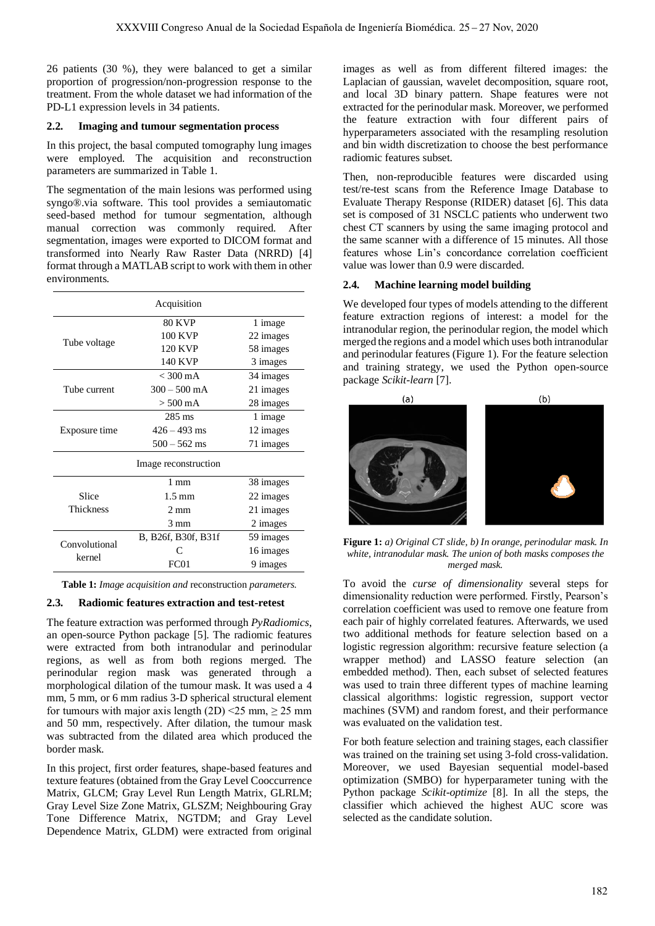26 patients (30 %), they were balanced to get a similar proportion of progression/non-progression response to the treatment. From the whole dataset we had information of the PD-L1 expression levels in 34 patients.

## **2.2. Imaging and tumour segmentation process**

In this project, the basal computed tomography lung images were employed. The acquisition and reconstruction parameters are summarized in Table 1.

The segmentation of the main lesions was performed using syngo®.via software. This tool provides a semiautomatic seed-based method for tumour segmentation, although manual correction was commonly required. After segmentation, images were exported to DICOM format and transformed into Nearly Raw Raster Data (NRRD) [4] format through a MATLAB script to work with them in other environments.

| Acquisition               |                     |           |  |  |  |  |
|---------------------------|---------------------|-----------|--|--|--|--|
| Tube voltage              | <b>80 KVP</b>       | 1 image   |  |  |  |  |
|                           | 100 KVP             | 22 images |  |  |  |  |
|                           | <b>120 KVP</b>      | 58 images |  |  |  |  |
|                           | <b>140 KVP</b>      | 3 images  |  |  |  |  |
| Tube current              | $<$ 300 mA          | 34 images |  |  |  |  |
|                           | $300 - 500$ mA      | 21 images |  |  |  |  |
|                           | $> 500 \text{ mA}$  | 28 images |  |  |  |  |
| Exposure time             | 285 ms              | 1 image   |  |  |  |  |
|                           | $426 - 493$ ms      | 12 images |  |  |  |  |
|                           | $500 - 562$ ms      | 71 images |  |  |  |  |
| Image reconstruction      |                     |           |  |  |  |  |
| Slice<br><b>Thickness</b> | $1 \text{ mm}$      | 38 images |  |  |  |  |
|                           | $1.5 \text{ mm}$    | 22 images |  |  |  |  |
|                           | $2 \text{ mm}$      | 21 images |  |  |  |  |
|                           | $3 \text{ mm}$      | 2 images  |  |  |  |  |
| Convolutional<br>kernel   | B, B26f, B30f, B31f | 59 images |  |  |  |  |
|                           |                     | 16 images |  |  |  |  |
|                           | FC01                | 9 images  |  |  |  |  |

**Table 1:** *Image acquisition and* reconstruction *parameters.*

# **2.3. Radiomic features extraction and test-retest**

The feature extraction was performed through *PyRadiomics*, an open-source Python package [5]. The radiomic features were extracted from both intranodular and perinodular regions, as well as from both regions merged. The perinodular region mask was generated through a morphological dilation of the tumour mask. It was used a 4 mm, 5 mm, or 6 mm radius 3-D spherical structural element for tumours with major axis length  $(2D)$  <25 mm,  $\geq$  25 mm and 50 mm, respectively. After dilation, the tumour mask was subtracted from the dilated area which produced the border mask.

In this project, first order features, shape-based features and texture features (obtained from the Gray Level Cooccurrence Matrix, GLCM; Gray Level Run Length Matrix, GLRLM; Gray Level Size Zone Matrix, GLSZM; Neighbouring Gray Tone Difference Matrix, NGTDM; and Gray Level Dependence Matrix, GLDM) were extracted from original images as well as from different filtered images: the Laplacian of gaussian, wavelet decomposition, square root, and local 3D binary pattern. Shape features were not extracted for the perinodular mask. Moreover, we performed the feature extraction with four different pairs of hyperparameters associated with the resampling resolution and bin width discretization to choose the best performance radiomic features subset.

Then, non-reproducible features were discarded using test/re-test scans from the Reference Image Database to Evaluate Therapy Response (RIDER) dataset [6]. This data set is composed of 31 NSCLC patients who underwent two chest CT scanners by using the same imaging protocol and the same scanner with a difference of 15 minutes. All those features whose Lin's concordance correlation coefficient value was lower than 0.9 were discarded.

## **2.4. Machine learning model building**

We developed four types of models attending to the different feature extraction regions of interest: a model for the intranodular region, the perinodular region, the model which merged the regions and a model which uses both intranodular and perinodular features (Figure 1). For the feature selection and training strategy, we used the Python open-source package *Scikit-learn* [7].



**Figure 1:** *a) Original CT slide, b) In orange, perinodular mask. In white, intranodular mask. The union of both masks composes the merged mask.* 

To avoid the *curse of dimensionality* several steps for dimensionality reduction were performed. Firstly, Pearson's correlation coefficient was used to remove one feature from each pair of highly correlated features. Afterwards, we used two additional methods for feature selection based on a logistic regression algorithm: recursive feature selection (a wrapper method) and LASSO feature selection (an embedded method). Then, each subset of selected features was used to train three different types of machine learning classical algorithms: logistic regression, support vector machines (SVM) and random forest, and their performance was evaluated on the validation test.

For both feature selection and training stages, each classifier was trained on the training set using 3-fold cross-validation. Moreover, we used Bayesian sequential model-based optimization (SMBO) for hyperparameter tuning with the Python package *Scikit-optimize* [8]. In all the steps, the classifier which achieved the highest AUC score was selected as the candidate solution.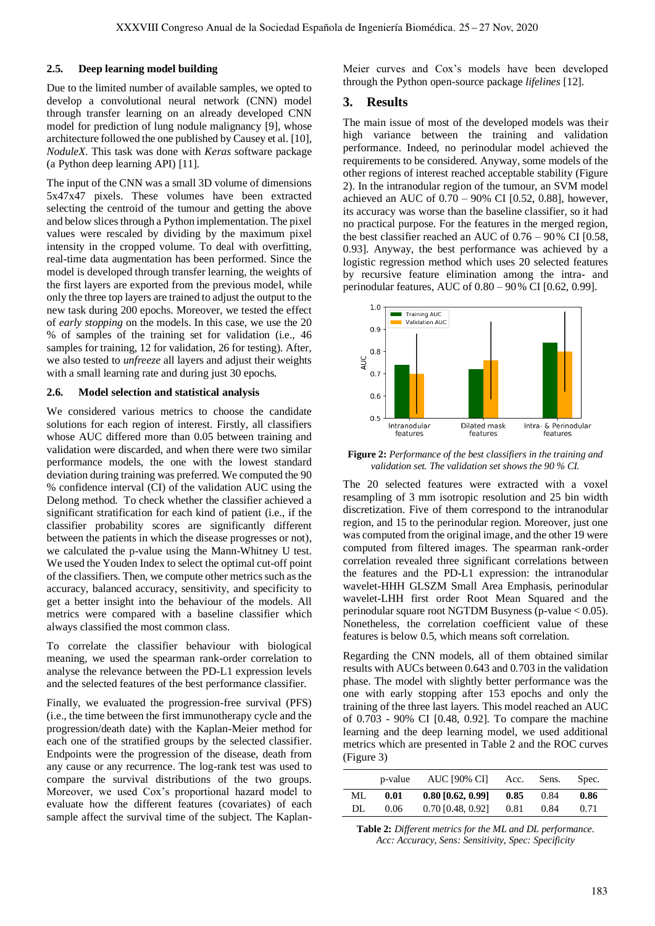#### **2.5. Deep learning model building**

Due to the limited number of available samples, we opted to develop a convolutional neural network (CNN) model through transfer learning on an already developed CNN model for prediction of lung nodule malignancy [9], whose architecture followed the one published by Causey et al. [10], *NoduleX*. This task was done with *Keras* software package (a Python deep learning API) [11].

The input of the CNN was a small 3D volume of dimensions 5x47x47 pixels. These volumes have been extracted selecting the centroid of the tumour and getting the above and below slices through a Python implementation. The pixel values were rescaled by dividing by the maximum pixel intensity in the cropped volume. To deal with overfitting, real-time data augmentation has been performed. Since the model is developed through transfer learning, the weights of the first layers are exported from the previous model, while only the three top layers are trained to adjust the output to the new task during 200 epochs. Moreover, we tested the effect of *early stopping* on the models. In this case, we use the 20 % of samples of the training set for validation (i.e., 46 samples for training, 12 for validation, 26 for testing). After, we also tested to *unfreeze* all layers and adjust their weights with a small learning rate and during just 30 epochs.

#### **2.6. Model selection and statistical analysis**

We considered various metrics to choose the candidate solutions for each region of interest. Firstly, all classifiers whose AUC differed more than 0.05 between training and validation were discarded, and when there were two similar performance models, the one with the lowest standard deviation during training was preferred. We computed the 90 % confidence interval (CI) of the validation AUC using the Delong method. To check whether the classifier achieved a significant stratification for each kind of patient (i.e., if the classifier probability scores are significantly different between the patients in which the disease progresses or not), we calculated the p-value using the Mann-Whitney U test. We used the Youden Index to select the optimal cut-off point of the classifiers. Then, we compute other metrics such as the accuracy, balanced accuracy, sensitivity, and specificity to get a better insight into the behaviour of the models. All metrics were compared with a baseline classifier which always classified the most common class.

To correlate the classifier behaviour with biological meaning, we used the spearman rank-order correlation to analyse the relevance between the PD-L1 expression levels and the selected features of the best performance classifier.

Finally, we evaluated the progression-free survival (PFS) (i.e., the time between the first immunotherapy cycle and the progression/death date) with the Kaplan-Meier method for each one of the stratified groups by the selected classifier. Endpoints were the progression of the disease, death from any cause or any recurrence. The log-rank test was used to compare the survival distributions of the two groups. Moreover, we used Cox's proportional hazard model to evaluate how the different features (covariates) of each sample affect the survival time of the subject. The KaplanMeier curves and Cox's models have been developed through the Python open-source package *lifelines* [12].

## **3. Results**

The main issue of most of the developed models was their high variance between the training and validation performance. Indeed, no perinodular model achieved the requirements to be considered. Anyway, some models of the other regions of interest reached acceptable stability (Figure 2). In the intranodular region of the tumour, an SVM model achieved an AUC of  $0.70 - 90\%$  CI [0.52, 0.88], however, its accuracy was worse than the baseline classifier, so it had no practical purpose. For the features in the merged region, the best classifier reached an AUC of 0.76 – 90% CI [0.58, 0.93]. Anyway, the best performance was achieved by a logistic regression method which uses 20 selected features by recursive feature elimination among the intra- and perinodular features, AUC of 0.80 – 90% CI [0.62, 0.99].



**Figure 2:** *Performance of the best classifiers in the training and validation set. The validation set shows the 90 % CI.* 

The 20 selected features were extracted with a voxel resampling of 3 mm isotropic resolution and 25 bin width discretization. Five of them correspond to the intranodular region, and 15 to the perinodular region. Moreover, just one was computed from the original image, and the other 19 were computed from filtered images. The spearman rank-order correlation revealed three significant correlations between the features and the PD-L1 expression: the intranodular wavelet-HHH GLSZM Small Area Emphasis, perinodular wavelet-LHH first order Root Mean Squared and the perinodular square root NGTDM Busyness (p-value < 0.05). Nonetheless, the correlation coefficient value of these features is below 0.5, which means soft correlation.

Regarding the CNN models, all of them obtained similar results with AUCs between 0.643 and 0.703 in the validation phase. The model with slightly better performance was the one with early stopping after 153 epochs and only the training of the three last layers. This model reached an AUC of 0.703 - 90% CI [0.48, 0.92]. To compare the machine learning and the deep learning model, we used additional metrics which are presented in Table 2 and the ROC curves (Figure 3)

|     | p-value | <b>AUC [90% CI]</b> | Acc. | Sens. | Spec. |
|-----|---------|---------------------|------|-------|-------|
| ML  | 0.01    | $0.80$ [0.62, 0.99] | 0.85 | 0.84  | 0.86  |
| DL. | 0.06    | $0.70$ [0.48, 0.92] | 0.81 | 0.84  | 0.71  |

**Table 2:** *Different metrics for the ML and DL performance. Acc: Accuracy, Sens: Sensitivity, Spec: Specificity*